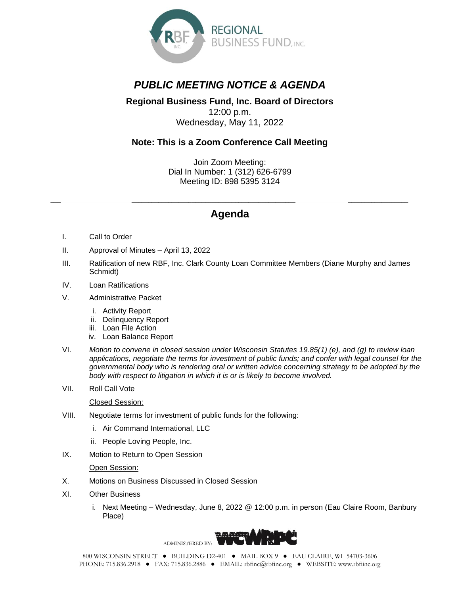

## *PUBLIC MEETING NOTICE & AGENDA*

## **Regional Business Fund, Inc. Board of Directors** 12:00 p.m. Wednesday, May 11, 2022

## **Note: This is a Zoom Conference Call Meeting**

Join Zoom Meeting: Dial In Number: 1 (312) 626-6799 Meeting ID: 898 5395 3124

## *\_\_\_ \_\_\_\_\_\_\_\_\_\_\_\_\_\_\_\_\_\_\_\_\_\_\_\_\_\_\_\_\_\_\_\_\_\_\_\_\_\_\_\_\_\_\_\_\_\_\_\_\_ \_\_\_\_\_\_\_\_\_\_\_\_\_\_\_\_\_\_* **Agenda**

- I. Call to Order
- II. Approval of Minutes April 13, 2022
- III. Ratification of new RBF, Inc. Clark County Loan Committee Members (Diane Murphy and James Schmidt)
- IV. Loan Ratifications
- V. Administrative Packet
	- i. Activity Report
	- ii. Delinquency Report
	- iii. Loan File Action
	- iv. Loan Balance Report
- VI. *Motion to convene in closed session under Wisconsin Statutes 19.85(1) (e), and (g) to review loan applications, negotiate the terms for investment of public funds; and confer with legal counsel for the governmental body who is rendering oral or written advice concerning strategy to be adopted by the body with respect to litigation in which it is or is likely to become involved.*
- VII. Roll Call Vote

Closed Session:

- VIII. Negotiate terms for investment of public funds for the following:
	- i. Air Command International, LLC
	- ii. People Loving People, Inc.
- IX. Motion to Return to Open Session

Open Session:

- X. Motions on Business Discussed in Closed Session
- XI. Other Business
	- i. Next Meeting Wednesday, June 8, 2022 @ 12:00 p.m. in person (Eau Claire Room, Banbury Place)